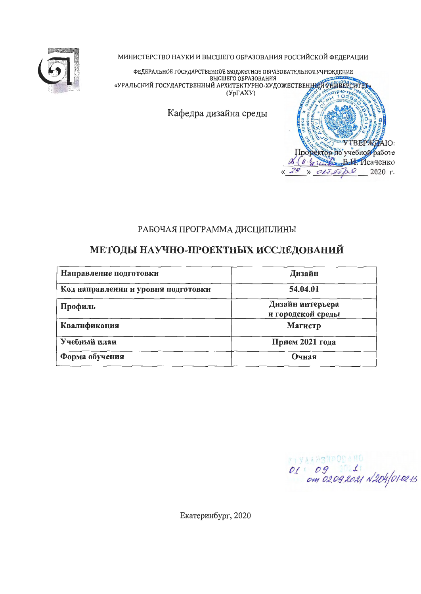

МИНИСТЕРСТВО НАУКИ И ВЫСШЕГО ОБРАЗОВАНИЯ РОССИЙСКОЙ ФЕДЕРАЦИИ

ФЕДЕРАЛЬНОЕ ГОСУДАРСТВЕННОЕ БЮДЖЕТНОЕ ОБРАЗОВАТЕЛЬНОЕ УЧРЕЖДЕНИЕ и детильное тось для ственные выдытное обладовливное у недетильное тось для ственные выдыти составность состав<br>«УРАЛЬСКИЙ ГОСУДАРСТВЕННЫЙ АРХИТЕКТУРНО-ХУДОЖЕСТВЕННЫЙ АРГИСТИЕ  $(Yp\Gamma A XY)$  $\Box$ Кафедра дизайна среды **YTBEPX** Ю: Проректор Но учебной работе 8 (11 % Second B. L. MCayelko

# РАБОЧАЯ ПРОГРАММА ДИСЦИПЛИНЫ

# МЕТОДЫ НАУЧНО-ПРОЕКТНЫХ ИССЛЕДОВАНИЙ

| Направление подготовки              | Дизайн                                |
|-------------------------------------|---------------------------------------|
| Код направления и уровня подготовки | 54.04.01                              |
| Профиль                             | Дизайн интерьера<br>и городской среды |
| Квалификация                        | Магистр                               |
| Учебный план                        | Прием 2021 года                       |
| Форма обучения                      | Очная                                 |

01 09 1 1000 100

 $017.07$ 

 $\lambda$ 

 $20$ 

2020 г.

Екатеринбург, 2020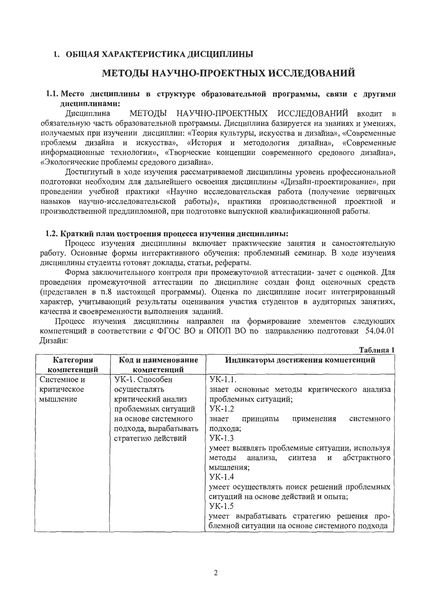### 1. ОБЩАЯ ХАРАКТЕРИСТИКА ДИСЦИПЛИНЫ

# МЕТОДЫ НАУЧНО-ПРОЕКТНЫХ ИССЛЕДОВАНИЙ

#### 1.1. Место дисциплины в структуре образовательной программы, связи с другими дисциплинами:

Дисциплина МЕТОДЫ НАУЧНО-ПРОЕКТНЫХ ИССЛЕДОВАНИЙ входит  $\mathbf{B}$ обязательную часть образовательной программы. Дисциплина базируется на знаниях и умениях, получаемых при изучении дисциплин: «Теория культуры, искусства и дизайна», «Современные проблемы дизайна и искусства», «История и методология дизайна», «Современные информационные технологии», «Творческие концепции современного средового дизайна», «Экологические проблемы средового дизайна».

Достигнутый в ходе изучения рассматриваемой дисциплины уровень профессиональной подготовки необходим для дальнейшего освоения дисциплины «Дизайн-проектирование», при проведении учебной практики «Научно исследовательская работа (получение первичных навыков научно-исследовательской работы)», практики производственной проектной и производственной преддипломной, при подготовке выпускной квалификационной работы.

#### 1.2. Краткий план построения процесса изучения дисциплины:

Процесс изучения дисциплины включает практические занятия и самостоятельную работу. Основные формы интерактивного обучения: проблемный семинар. В ходе изучения дисциплины студенты готовят доклады, статьи, рефераты.

Форма заключительного контроля при промежуточной аттестации-зачет с оценкой. Для проведения промежуточной аттестации по дисциплине создан фонд оценочных средств (представлен в п.8 настоящей программы). Оценка по дисциплине носит интегрированный характер, учитывающий результаты оценивания участия студентов в аудиторных занятиях, качества и своевременности выполнения заданий.

Процесс изучения дисциплины направлен на формирование элементов следующих компетенций в соответствии с ФГОС ВО и ОПОП ВО по направлению подготовки 54.04.01 Лизайн:  $Ta6$ 

|                          |                                   | 1 и VVIII ЦИ 1                                     |
|--------------------------|-----------------------------------|----------------------------------------------------|
| Категория<br>компетенций | Код и наименование<br>компетенций | Индикаторы достижения компетенций                  |
| Системное и              | УК-1. Способен                    | $YK-1.1$ .                                         |
| критическое              | осуществлять                      | знает основные методы критического анализа         |
| мышление                 | критический анализ                | проблемных ситуаций;                               |
|                          | проблемных ситуаций               | $YK-1.2$                                           |
|                          | на основе системного              | применения<br>системного<br>принципы<br>знает      |
|                          | подхода, вырабатывать             | подхода;                                           |
|                          | стратегию действий                | $YK-1.3$                                           |
|                          |                                   | умеет выявлять проблемные ситуации, используя      |
|                          |                                   | абстрактного<br>синтеза<br>анализа,<br>и<br>методы |
|                          |                                   | мышления;                                          |
|                          |                                   | $YK-1.4$                                           |
|                          |                                   | умеет осуществлять поиск решений проблемных        |
|                          |                                   | ситуаций на основе действий и опыта;               |
|                          |                                   | $YK-1.5$                                           |
|                          |                                   | умеет вырабатывать стратегию решения про-          |
|                          |                                   | блемной ситуации на основе системного подхода      |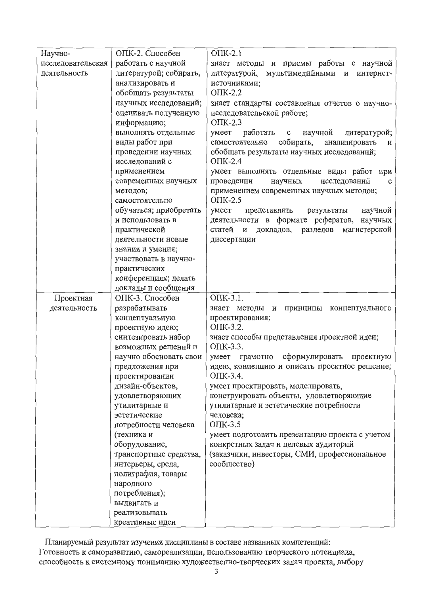| Научно-           | ОПК-2. Способен            | $OIIK-2.1$                                                  |
|-------------------|----------------------------|-------------------------------------------------------------|
| исследовательская | работать с научной         | знает методы и приемы работы с научной                      |
| деятельность      | литературой; собирать,     | литературой,<br>мультимедийными и интернет-                 |
|                   | анализировать и            | источниками;                                                |
|                   | обобщать результаты        | $OIIK-2.2$                                                  |
|                   | научных исследований;      | знает стандарты составления отчетов о научно-               |
|                   | оценивать полученную       | исследовательской работе;                                   |
|                   | информацию;                | $OIIK-2.3$                                                  |
|                   | выполнять отдельные        | научной<br>литературой;<br>работать<br>умеет<br>$\mathbf c$ |
|                   | виды работ при             | собирать,<br>анализировать<br>самостоятельно<br>и           |
|                   | проведении научных         | обобщать результаты научных исследований;                   |
|                   | исследований с             | $OIIK-2.4$                                                  |
|                   | применением                | умеет выполнять отдельные виды работ при                    |
|                   | современных научных        | исследований<br>научных<br>проведении<br>c                  |
|                   | методов;                   | применением современных научных методов;                    |
|                   | самостоятельно             | $OIIK-2.5$                                                  |
|                   | обучаться; приобретать     | научной<br>представлять<br>результаты<br>умеет              |
|                   | и использовать в           | деятельности в формате рефератов,<br>научных                |
|                   | практической               | и докладов, разделов<br>магистерской<br>статей              |
|                   | деятельности новые         | диссертации                                                 |
|                   | знания и умения;           |                                                             |
|                   | участвовать в научно-      |                                                             |
|                   | практических               |                                                             |
|                   | конференциях; делать       |                                                             |
|                   | доклады и сообщения        |                                                             |
| Проектная         | ОПК-3. Способен            | ОПК-3.1.                                                    |
| деятельность      | разрабатывать              | знает методы и<br>принципы концептуального                  |
|                   | концептуальную             | проектирования;                                             |
|                   | проектную идею;            | OIIK-3.2.                                                   |
|                   | синтезировать набор        | знает способы представления проектной идеи;                 |
|                   | возможных решений и        | ОПК-3.3.                                                    |
|                   | научно обосновать свои     | сформулировать<br>проектную<br>умеет грамотно               |
|                   | предложения при            | идею, концепцию и описать проектное решение;                |
|                   | проектировании             | ОПК-3.4.                                                    |
|                   | дизайн-объектов,           | умеет проектировать, моделировать,                          |
|                   | удовлетворяющих            | конструировать объекты, удовлетворяющие                     |
|                   | утилитарные и              | утилитарные и эстетические потребности                      |
|                   | эстетические               | человека;                                                   |
|                   | потребности человека       | $OIIK-3.5$                                                  |
|                   | (техника и                 | умеет подготовить презентацию проекта с учетом              |
|                   | оборудование,              | конкретных задач и целевых аудиторий                        |
|                   | транспортные средства,     | (заказчики, инвесторы, СМИ, профессиональное                |
|                   | интерьеры, среда,          | сообщество)                                                 |
|                   | полиграфия, товары         |                                                             |
|                   | народного<br>потребления); |                                                             |
|                   | выдвигать и                |                                                             |
|                   | реализовывать              |                                                             |
|                   |                            |                                                             |
|                   | креативные идеи            |                                                             |

Планируемый результат изучения дисциплины в составе названных компетенций: Готовность к саморазвитию, самореализации, использованию творческого потенциала, способность к системному пониманию художественно-творческих задач проекта, выбору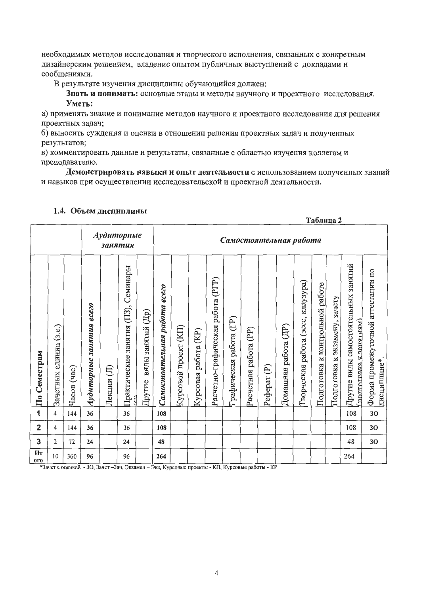необходимых методов исследования и творческого исполнения, связанных с конкретным дизайнерским решением, владение опытом публичных выступлений с докладами и сообщениями.

В результате изучения дисциплины обучающийся должен:

Знать и понимать: основные этапы и методы научного и проектного исследования.

#### Уметь:

а) применять знание и понимание методов научного и проектного исследования для решения проектных задач;

б) выносить суждения и оценки в отношении решения проектных задач и полученных результатов:

в) комментировать данные и результаты, связанные с областью изучения коллегам и преподавателю.

Демонстрировать навыки и опыт деятельности с использованием полученных знаний и навыков при осуществлении исследовательской и проектной деятельности.

 $\overline{a}$ 

|                         |                           |                |                                    |             |                                                 |                             |                              |                      |                            |                                      |                        |                       |                            |                         |                                       |                                       | Таблица 2                     |                                                                  |                                                   |
|-------------------------|---------------------------|----------------|------------------------------------|-------------|-------------------------------------------------|-----------------------------|------------------------------|----------------------|----------------------------|--------------------------------------|------------------------|-----------------------|----------------------------|-------------------------|---------------------------------------|---------------------------------------|-------------------------------|------------------------------------------------------------------|---------------------------------------------------|
|                         |                           |                |                                    |             | Аудиторные<br>Самостоятельная работа<br>занятия |                             |                              |                      |                            |                                      |                        |                       |                            |                         |                                       |                                       |                               |                                                                  |                                                   |
| По Семестрам            | единиц (з.е.)<br>Зачетных | (4ac)<br>Часов | <b>8CC20</b><br>Аудиторные занятия | 巨<br>Лекции | Практические занятия (ПЗ), Семинары             | виды занятий (Др)<br>Другие | Самостоятельная работа всего | Курсовой проект (КП) | (KP)<br>работа<br>Курсовая | (PIP)<br>Расчетно-графическая работа | рафическая работа (ГР) | Расчетная работа (PP) | $\widehat{\in}$<br>Реферат | (HP)<br>Домашняя работа | работа (эссе, клаузура)<br>Гворческая | работе<br>к контрольной<br>Подготовка | Подготовка к экзамену, зачету | занятий<br>Пругие виды самостоятельных<br>полготовка к занятиям) | Форма промежуточной агтестации по<br>дисциплине*. |
| 1                       | 4                         | 144            | 36                                 |             | 36                                              |                             | 108                          |                      |                            |                                      |                        |                       |                            |                         |                                       |                                       |                               | 108                                                              | 30                                                |
| $\overline{\mathbf{2}}$ | 4                         | 144            | 36                                 |             | 36                                              |                             | 108                          |                      |                            |                                      |                        |                       |                            |                         |                                       |                                       |                               | 108                                                              | 30                                                |
| 3                       | 2                         | 72             | 24                                 |             | 24                                              |                             | 48                           |                      |                            |                                      |                        |                       |                            |                         |                                       |                                       |                               | 48                                                               | 30                                                |
| Ит<br><b>ОГО</b>        | 10                        | 360            | 96                                 |             | 96                                              |                             | 264                          |                      |                            |                                      |                        |                       |                            |                         |                                       |                                       |                               | 264                                                              |                                                   |

#### 1.4. Объем дисциплины

\*Зачет с оценкой - 30, Зачет-Зач, Экзамен - Экз, Курсовые проекты - КП, Курсовые работы - КР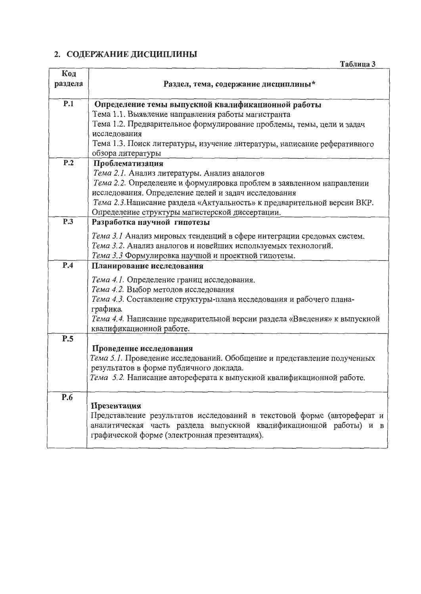# 2. СОДЕРЖАНИЕ ДИСЦИПЛИНЫ

|                | Таблица 3                                                                                                                                                                                                              |
|----------------|------------------------------------------------------------------------------------------------------------------------------------------------------------------------------------------------------------------------|
| Код<br>раздела | Раздел, тема, содержание дисциплины*                                                                                                                                                                                   |
| P.1            | Определение темы выпускной квалификационной работы                                                                                                                                                                     |
|                | Тема 1.1. Выявление направления работы магистранта                                                                                                                                                                     |
|                | Тема 1.2. Предварительное формулирование проблемы, темы, цели и задач<br>исследования                                                                                                                                  |
|                | Тема 1.3. Поиск литературы, изучение литературы, написание реферативного<br>обзора литературы                                                                                                                          |
| P.2            | Проблематизация                                                                                                                                                                                                        |
|                | Тема 2.1. Анализ литературы. Анализ аналогов                                                                                                                                                                           |
|                | Тема 2.2. Определение и формулировка проблем в заявленном направлении<br>исследования. Определение целей и задач исследования                                                                                          |
|                | Тема 2.3. Написание раздела «Актуальность» к предварительной версии ВКР.<br>Определение структуры магистерской диссертации.                                                                                            |
| P.3            | Разработка научной гипотезы                                                                                                                                                                                            |
|                | Тема 3.1 Анализ мировых тенденций в сфере интеграции средовых систем.<br>Тема 3.2. Анализ аналогов и новейших используемых технологий.<br>Тема 3.3 Формулировка научной и проектной гипотезы.                          |
| P.4            | Планирование исследования                                                                                                                                                                                              |
|                | Тема 4.1. Определение границ исследования.<br>Тема 4.2. Выбор методов исследования<br>Тема 4.3. Составление структуры-плана исследования и рабочего плана-<br>графика.                                                 |
|                | Тема 4.4. Написание предварительной версии раздела «Введения» к выпускной<br>квалификационной работе.                                                                                                                  |
| P.5            |                                                                                                                                                                                                                        |
|                | Проведение исследования<br>Тема 5.1. Проведение исследований. Обобщение и представление полученных<br>результатов в форме публичного доклада.<br>Тема 5.2. Написание автореферата к выпускной квалификационной работе. |
| P.6            | Презентация<br>Представление результатов исследований в текстовой форме (автореферат и<br>аналитическая часть раздела выпускной квалификационной работы) и в<br>графической форме (электронная презентация).           |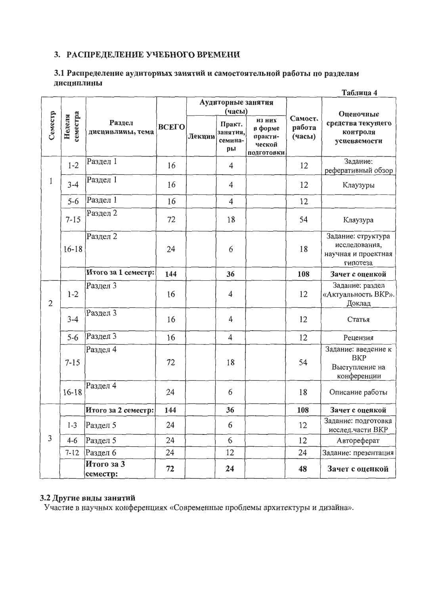# 3. РАСПРЕДЕЛЕНИЕ УЧЕБНОГО ВРЕМЕНИ

#### 3.1 Распределение аудиторных занятий и самостоятельной работы по разделам дисциплины  $\mathbf{E} \cdot \mathbf{E}$

|                |                    |                            |              |        |                                     |                                                      |                             | Таблица 4                                                              |  |
|----------------|--------------------|----------------------------|--------------|--------|-------------------------------------|------------------------------------------------------|-----------------------------|------------------------------------------------------------------------|--|
|                |                    |                            |              |        | Аудиторные занятия<br>(часы)        |                                                      |                             |                                                                        |  |
| Семестр        | семестра<br>Неделя | Раздел<br>дисциплины, тема | <b>BCETO</b> | Лекции | Практ.<br>занятия,<br>семина-<br>ры | из них<br>в форме<br>практи-<br>ческой<br>подготовки | Самост.<br>работа<br>(часы) | Оценочные<br>средства текущего<br>контроля<br>успеваемости             |  |
|                | $1 - 2$            | Раздел 1                   | 16           |        | 4                                   |                                                      | 12                          | Задание:<br>реферативный обзор                                         |  |
| 1              | $3 - 4$            | Раздел 1                   | 16           |        | 4                                   |                                                      | 12                          | Клаузуры                                                               |  |
|                | $5 - 6$            | Раздел 1                   | 16           |        | $\overline{4}$                      |                                                      | 12                          |                                                                        |  |
|                | $7 - 15$           | Раздел 2                   | 72           |        | 18                                  |                                                      | 54                          | Клаузура                                                               |  |
|                | $16 - 18$          | Раздел 2                   | 24           |        | 6                                   |                                                      | 18                          | Задание: структура<br>исследования,<br>научная и проектная<br>гипотеза |  |
|                |                    | Итого за 1 семестр:        | 144          |        | 36                                  |                                                      | 108                         | Зачет с оценкой                                                        |  |
| $\overline{2}$ | $1 - 2$            | Раздел 3                   | 16           |        | 4                                   |                                                      | 12                          | Задание: раздел<br>«Актуальность ВКР».<br>Доклад                       |  |
|                | $3 - 4$            | Раздел 3                   | 16           |        | 4                                   |                                                      | 12                          | Статья                                                                 |  |
|                | $5 - 6$            | Раздел 3                   | 16           |        | 4                                   |                                                      | 12                          | Рецензия                                                               |  |
|                | $7 - 15$           | Раздел 4                   | 72           |        | 18                                  |                                                      | 54                          | Задание: введение к<br><b>BKP</b><br>Выступление на<br>конференции     |  |
|                | $16 - 18$          | Раздел 4                   | 24           |        | 6                                   |                                                      | 18                          | Описание работы                                                        |  |
|                |                    | Итого за 2 семестр:        | 144          |        | 36                                  |                                                      | 108                         | Зачет с оценкой                                                        |  |
|                | $1 - 3$            | Раздел 5                   | 24           |        | 6                                   |                                                      | 12                          | Задание: подготовка<br>исслед.части ВКР                                |  |
| 3              | $4 - 6$            | Раздел 5                   | 24           |        | 6                                   |                                                      | 12                          | Автореферат                                                            |  |
|                | $7 - 12$           | Раздел 6                   | 24           |        | 12                                  |                                                      | 24                          | Задание: презентация                                                   |  |
|                |                    | Итого за 3<br>семестр:     | 72           |        | 24                                  |                                                      | 48                          | Зачет с оценкой                                                        |  |

# 3.2 Другие виды занятий

Участие в научных конференциях «Современные проблемы архитектуры и дизайна».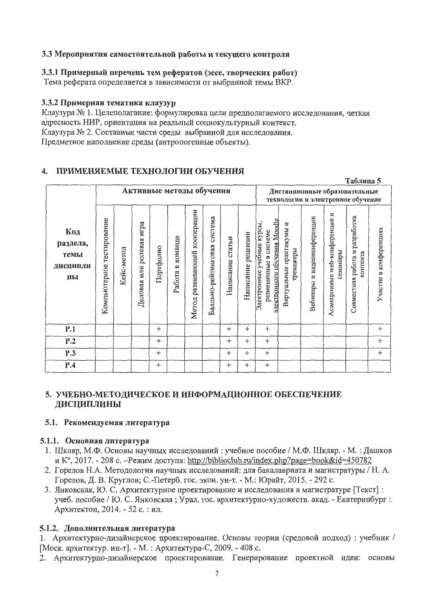### 3.3 Мероприятия самостоятельной работы и текущего контроля

### 3.3.1 Примерный перечень тем рефератов (эссе, творческих работ)

Тема реферата определяется в зависимости от выбранной темы ВКР.

### 3.3.2 Примерная тематика клаузур

Клаузура № 1. Целеполагание: формулировка цели предполагаемого исследования, четкая адресность НИР, ориентация на реальный социокультурный контекст. Клаузура № 2. Составные части среды выбранной для исследования. Предметное наполнение среды (антропогенные объекты).

# 4. ПРИМЕНЯЕМЫЕ ТЕХНОЛОГИИ ОБУЧЕНИЯ

|                                           |                              |            |                                |           |                        |                              |                                |                     |                       |                                                                                     |                                       |                                                                    |                                              | Таблица 5                                        |                        |
|-------------------------------------------|------------------------------|------------|--------------------------------|-----------|------------------------|------------------------------|--------------------------------|---------------------|-----------------------|-------------------------------------------------------------------------------------|---------------------------------------|--------------------------------------------------------------------|----------------------------------------------|--------------------------------------------------|------------------------|
|                                           | Активные методы обучения     |            |                                |           |                        |                              |                                |                     |                       |                                                                                     |                                       | Дистанционные образовательные<br>технологии и электронное обучение |                                              |                                                  |                        |
| Код<br>раздела,<br>темы<br>дисципли<br>ны | тестирование<br>Компьютерное | Кейс-метод | игра<br>ролевая<br>Деловая или | Портфолио | команде<br>≃<br>Работа | Метод развивающей кооперации | система<br>Балльно-рейтинговая | статьи<br>Написание | рецензии<br>Написание | электронного обучения Moodle<br>Электронные учебные курсы,<br>размешенные в системе | Виртуальные практикумы и<br>гренажеры | Вебинары и видеоконференции                                        | web-конференции и<br>семинары<br>Асинхронные | разработка<br>работа и<br>контента<br>Совместная | Участие в конференциях |
| P.1                                       |                              |            |                                | $+$       |                        |                              |                                | $^{+}$              | $^{+}$                | $+$                                                                                 |                                       |                                                                    |                                              |                                                  | $^{+}$                 |
| P.2                                       |                              |            |                                | $^{+}$    |                        |                              |                                | $^{+}$              | $^{+}$                | $^{+}$                                                                              |                                       |                                                                    |                                              |                                                  | $^{+}$                 |
| P.3                                       |                              |            |                                | $+$       |                        |                              |                                | $^{+}$              | $^{+}$                | $^{+}$                                                                              |                                       |                                                                    |                                              |                                                  | $^{+}$                 |
| P.4                                       |                              |            |                                | $^{+}$    |                        |                              |                                | $^{+}$              | $^{+}$                | $^{+}$                                                                              |                                       |                                                                    |                                              |                                                  |                        |

# 5. УЧЕБНО-МЕТОДИЧЕСКОЕ И ИНФОРМАЦИОННОЕ ОБЕСПЕЧЕНИЕ ДИСЦИПЛИНЫ

### 5.1. Рекомендуемая литература

### 5.1.1. Основная литература

- 1. Шкляр, М.Ф. Основы научных исследований: учебное пособие / М.Ф. Шкляр. М.: Дашков и К°, 2017. - 208 с. –Режим доступа: http://biblioclub.ru/index.php?page=book&id=450782
- 2. Горелов Н.А. Методология научных исследований: для бакалавриата и магистратуры / Н. А. Горелов, Д. В. Круглов; С.-Петерб. гос. экон. ун-т. - М.: Юрайт, 2015. - 292 с.
- 3. Янковская, Ю. С. Архитектурное проектирование и исследования в магистратуре [Текст]: учеб. пособие / Ю. С. Янковская; Урал. гос. архитектурно-художеств. акад. - Екатеринбург: Архитектон, 2014. - 52 с. : ил.

# 5.1.2. Дополнительная литература

- 1. Архитектурно-дизайнерское проектирование. Основы теории (средовой подход): учебник / [Моск. архитектур. ин-т]. - М. : Архитектура-С, 2009. - 408 с.
- 2. Архитектурно-дизайнерское проектирование. Генерирование проектной идеи: основы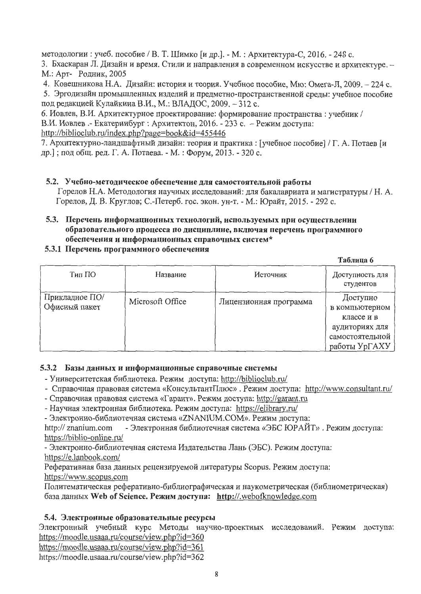методологии: учеб. пособие / В. Т. Шимко [и др.]. - М.: Архитектура-С, 2016. - 248 с.

3. Бхаскаран Л. Дизайн и время. Стили и направления в современном искусстве и архитектуре. -М.: Арт- Родник, 2005

4. Ковешникова Н.А. Дизайн: история и теория. Учебное пособие, Мю: Омега-Л, 2009. - 224 с.

5. Эргодизайн промышленных изделий и предметно-пространственной среды: учебное пособие под редакцией Кулайкина В.И., М.: ВЛАДОС, 2009. - 312 с.

6. Иовлев, В.И. Архитектурное проектирование: формирование пространства: учебник / В.И. Иовлев. - Екатеринбург : Архитектон, 2016. - 233 с. - Режим доступа:

http://biblioclub.ru/index.php?page=book&id=455446

7. Архитектурно-ландшафтный дизайн: теория и практика: [учебное пособие] / Г. А. Потаев [и др.]; под общ. ред. Г. А. Потаева. - М.: Форум, 2013. - 320 с.

### 5.2. Учебно-методическое обеспечение для самостоятельной работы

Горелов Н.А. Методология научных исследований: для бакалавриата и магистратуры / Н.А. Горелов, Д. В. Круглов; С.-Петерб. гос. экон. ун-т. - М.: Юрайт, 2015. - 292 с.

#### 5.3. Перечень информационных технологий, используемых при осуществлении образовательного процесса по дисциплине, включая перечень программного обеспечения и информационных справочных систем\*

### 5.3.1 Перечень программного обеспечения

#### Таблица 6 Источник Доступность для Тип ПО Название студентов Прикладное ПО/ Доступно Microsoft Office Лицензионная программа Офисный пакет в компьютерном классе и в аудиториях для самостоятельной работы УрГАХУ

### 5.3.2 Базы данных и информационные справочные системы

- Университетская библиотека. Режим доступа: http://biblioclub.ru/

- Справочная правовая система «КонсультантПлюс». Режим доступа: http://www.consultant.ru/
- Справочная правовая система «Гарант». Режим доступа: http://garant.ru

- Научная электронная библиотека. Режим доступа: https://elibrary.ru/

- Электронно-библиотечная система «ZNANIUM.COM». Режим доступа:

- Электронная библиотечная система «ЭБС ЮРАЙТ». Режим доступа: http:// znanium.com https://biblio-online.ru/

- Электронно-библиотечная система Издательства Лань (ЭБС). Режим доступа: https://e.lanbook.com/

Реферативная база данных рецензируемой литературы Scopus. Режим доступа: https://www.scopus.com

Политематическая реферативно-библиографическая и наукометрическая (библиометрическая) база данных Web of Science. Режим доступа: http://.webofknowledge.com

### 5.4. Электронные образовательные ресурсы

Электронный учебный курс Методы научно-проектных исследований. Режим доступа: https://moodle.usaaa.ru/course/view.php?id=360

https://moodle.usaaa.ru/course/view.php?id=361

https://moodle.usaaa.ru/course/view.php?id=362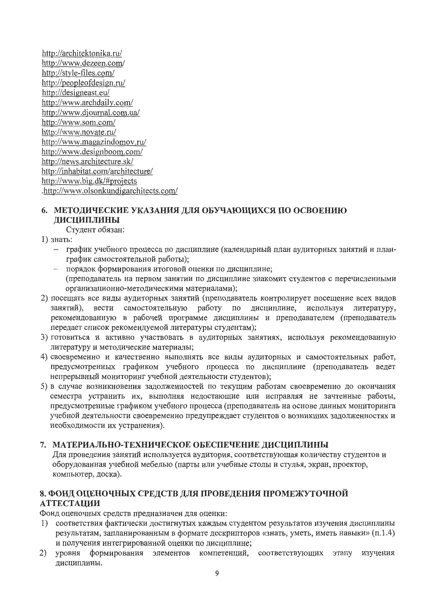http://architektonika.ru/ http://www.dezeen.com/ http://style-files.com/ http://peopleofdesign.ru/ http://designeast.eu/ http://www.archdaily.com/ http://www.djournal.com.ua/ http://www.som.com/ http://www.novate.ru/ http://www.magazindomov.ru/ http://www.designboom.com/ http://news.architecture.sk/ http://inhabitat.com/architecture/ http://www.big.dk/#projects .http://www.olsonkundigarchitects.com/

# 6. МЕТОДИЧЕСКИЕ УКАЗАНИЯ ДЛЯ ОБУЧАЮЩИХСЯ ПО ОСВОЕНИЮ ДИСЦИПЛИНЫ

Студент обязан:

1) знать:

- график учебного процесса по дисциплине (календарный план аудиторных занятий и планграфик самостоятельной работы);
- порядок формирования итоговой оценки по дисциплине;  $\overline{\phantom{0}}$ (преподаватель на первом занятии по дисциплине знакомит студентов с перечисленными организационно-методическими материалами);
- 2) посещать все виды аудиторных занятий (преподаватель контролирует посещение всех видов занятий), вести самостоятельную работу по дисциплине, используя литературу, рекомендованную в рабочей программе дисциплины и преподавателем (преподаватель передает список рекомендуемой литературы студентам);
- 3) готовиться и активно участвовать в аудиторных занятиях, используя рекомендованную литературу и методические материалы;
- 4) своевременно и качественно выполнять все виды аудиторных и самостоятельных работ, предусмотренных графиком учебного процесса по дисциплине (преподаватель ведет непрерывный мониторинг учебной деятельности студентов);
- 5) в случае возникновения задолженностей по текущим работам своевременно до окончания семестра устранить их, выполняя недостающие или исправляя не зачтенные работы, предусмотренные графиком учебного процесса (преподаватель на основе данных мониторинга учебной деятельности своевременно предупреждает студентов о возникших задолженностях и необходимости их устранения).

# 7. МАТЕРИАЛЬНО-ТЕХНИЧЕСКОЕ ОБЕСПЕЧЕНИЕ ДИСЦИПЛИНЫ

Для проведения занятий используется аудитория, соответствующая количеству студентов и оборудованная учебной мебелью (парты или учебные столы и стулья, экран, проектор, компьютер, доска).

# 8. ФОНД ОЦЕНОЧНЫХ СРЕДСТВ ДЛЯ ПРОВЕДЕНИЯ ПРОМЕЖУТОЧНОЙ **АТТЕСТАЦИИ**

Фонд оценочных средств предназначен для оценки:

- 1) соответствия фактически достигнутых каждым студентом результатов изучения дисциплины результатам, запланированным в формате дескрипторов «знать, уметь, иметь навыки» (п.1.4) и получения интегрированной оценки по дисциплине;
- 2) уровня формирования элементов компетенций, соответствующих этапу изучения лисциплины.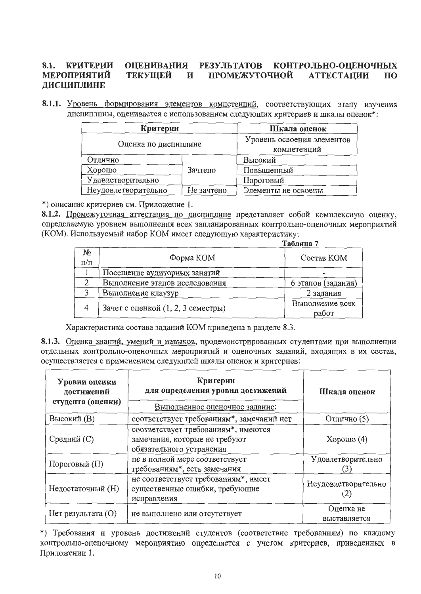#### **ОЦЕНИВАНИЯ РЕЗУЛЬТАТОВ** КОНТРОЛЬНО-ОЦЕНОЧНЫХ 8.1. **КРИТЕРИИ** ПРОМЕЖУТОЧНОЙ **МЕРОПРИЯТИЙ ТЕКУЩЕЙ** И **АТТЕСТАЦИИ**  $\Pi$ <sup>O</sup> ДИСЦИПЛИНЕ

8.1.1. Уровень формирования элементов компетенций, соответствующих этапу изучения дисциплины, оценивается с использованием следующих критериев и шкалы оценок\*:

|                      | Критерии                                  |                     |  |  |  |  |
|----------------------|-------------------------------------------|---------------------|--|--|--|--|
| Оценка по дисциплине | Уровень освоения элементов<br>компетенций |                     |  |  |  |  |
| Отлично              |                                           | Высокий             |  |  |  |  |
| Хорошо               | Зачтено                                   | Повышенный          |  |  |  |  |
| Удовлетворительно    |                                           | Пороговый           |  |  |  |  |
| Неудовлетворительно  | Не зачтено                                | Элементы не освоены |  |  |  |  |

\*) описание критериев см. Приложение 1.

8.1.2. Промежуточная аттестация по дисциплине представляет собой комплексную оценку, определяемую уровнем выполнения всех запланированных контрольно-оценочных мероприятий (КОМ). Используемый набор КОМ имеет следующую характеристику:

|                 |                                    | Таблица 7                |
|-----------------|------------------------------------|--------------------------|
| No<br>$\pi/\pi$ | Форма КОМ                          | Состав КОМ               |
|                 | Посещение аудиторных занятий       |                          |
|                 | Выполнение этапов исследования     | 6 этапов (задания)       |
|                 | Выполнение клаузур                 | 2 задания                |
| 4               | Зачет с оценкой (1, 2, 3 семестры) | Выполнение всех<br>работ |

Характеристика состава заданий КОМ приведена в разделе 8.3.

8.1.3. Оценка знаний, умений и навыков, продемонстрированных студентами при выполнении отдельных контрольно-оценочных мероприятий и оценочных заданий, входящих в их состав, осуществляется с применением следующей шкалы оценок и критериев:

| Уровни оценки<br>достижений<br>студента (оценки) | Критерии<br>для определения уровня достижений<br>Выполненное оценочное задание:                  | Шкала оценок              |  |  |
|--------------------------------------------------|--------------------------------------------------------------------------------------------------|---------------------------|--|--|
| <b>Высокий</b> (B)                               | соответствует требованиям*, замечаний нет                                                        | Отлично (5)               |  |  |
| Средний (С)                                      | соответствует требованиям*, имеются<br>замечания, которые не требуют<br>обязательного устранения | Хорошо $(4)$              |  |  |
| Пороговый (П)                                    | не в полной мере соответствует<br>требованиям*, есть замечания                                   | Удовлетворительно         |  |  |
| Недостаточный (Н)                                | не соответствует требованиям*, имеет<br>существенные ошибки, требующие<br>исправления            | Неудовлетворительно       |  |  |
| $H$ ет результата $(O)$                          | не выполнено или отсутствует                                                                     | Оценка не<br>выставляется |  |  |

\*) Требования и уровень достижений студентов (соответствие требованиям) по каждому контрольно-оценочному мероприятию определяется с учетом критериев, приведенных в Приложении 1.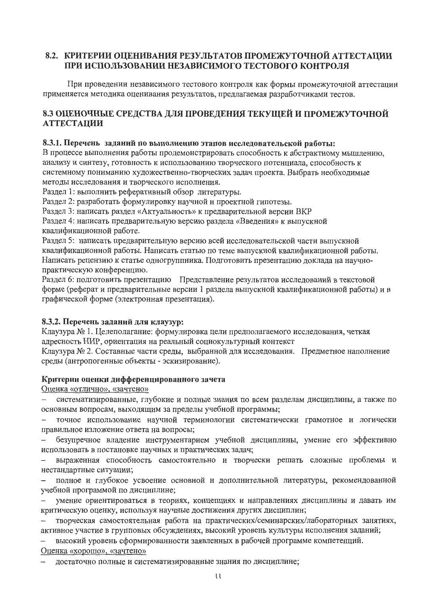# 8.2. КРИТЕРИИ ОЦЕНИВАНИЯ РЕЗУЛЬТАТОВ ПРОМЕЖУТОЧНОЙ АТТЕСТАЦИИ ПРИ ИСПОЛЬЗОВАНИИ НЕЗАВИСИМОГО ТЕСТОВОГО КОНТРОЛЯ

При проведении независимого тестового контроля как формы промежуточной аттестации применяется методика оценивания результатов, предлагаемая разработчиками тестов.

# 8.3 ОЦЕНОЧНЫЕ СРЕДСТВА ДЛЯ ПРОВЕДЕНИЯ ТЕКУЩЕЙ И ПРОМЕЖУТОЧНОЙ **АТТЕСТАЦИИ**

#### 8.3.1. Перечень заданий по выполнению этапов исследовательской работы:

В процессе выполнения работы продемонстрировать способность к абстрактному мышлению, анализу и синтезу, готовность к использованию творческого потенциала, способность к системному пониманию художественно-творческих задач проекта. Выбрать необходимые методы исследования и творческого исполнения.

Раздел 1: выполнить реферативный обзор литературы.

Раздел 2: разработать формулировку научной и проектной гипотезы.

Раздел 3: написать раздел «Актуальность» к предварительной версии ВКР

Раздел 4: написать предварительную версию раздела «Введения» к выпускной квалификационной работе.

Раздел 5: написать предварительную версию всей исследовательской части выпускной квалификационной работы. Написать статью по теме выпускной квалификационной работы. Написать рецензию к статье одногруппника. Подготовить презентацию доклада на научнопрактическую конференцию.

Раздел 6: подготовить презентацию Представление результатов исследований в текстовой форме (реферат и предварительные версии 1 раздела выпускной квалификационной работы) и в графической форме (электронная презентация).

#### 8.3.2. Перечень заданий для клаузур:

Клаузура № 1. Целеполагание: формулировка цели предполагаемого исследования, четкая адресность НИР, ориентация на реальный социокультурный контекст

Клаузура № 2. Составные части среды, выбранной для исследования. Предметное наполнение среды (антропогенные объекты - эскизирование).

#### Критерии оценки дифференцированного зачета

Оценка «отлично», «зачтено»

систематизированные, глубокие и полные знания по всем разделам дисциплины, а также по  $$ основным вопросам, выходящим за пределы учебной программы;

точное использование научной терминологии систематически грамотное и логически правильное изложение ответа на вопросы;

безупречное владение инструментарием учебной дисциплины, умение его эффективно  $$ использовать в постановке научных и практических задач;

выраженная способность самостоятельно и творчески решать сложные проблемы и нестандартные ситуации;

полное и глубокое усвоение основной и дополнительной литературы, рекомендованной  $\overline{\phantom{0}}$ учебной программой по дисциплине;

умение ориентироваться в теориях, концепциях и направлениях дисциплины и давать им критическую оценку, используя научные достижения других дисциплин;

творческая самостоятельная работа на практических/семинарских/лабораторных занятиях, активное участие в групповых обсуждениях, высокий уровень культуры исполнения заданий;

высокий уровень сформированности заявленных в рабочей программе компетенций.  $-$ 

#### Оценка «хорошо», «зачтено»

достаточно полные и систематизированные знания по дисциплине;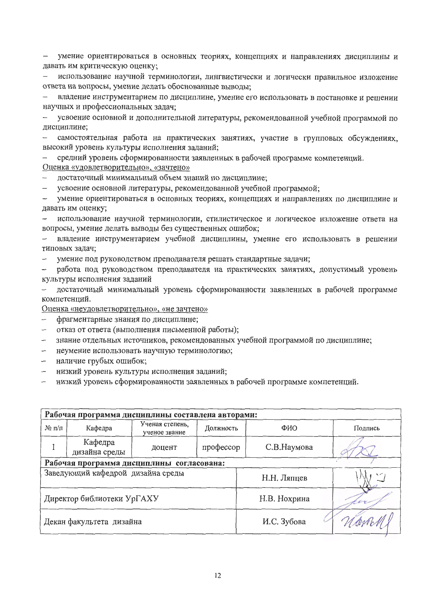умение ориентироваться в основных теориях, концепциях и направлениях дисциплины и давать им критическую оценку;

использование научной терминологии, лингвистически и логически правильное изложение ответа на вопросы, умение делать обоснованные выводы;

владение инструментарием по дисциплине, умение его использовать в постановке и решении  $$ научных и профессиональных задач;

усвоение основной и дополнительной литературы, рекомендованной учебной программой по лисциплине:

самостоятельная работа на практических занятиях, участие в групповых обсуждениях,  $\overline{\phantom{0}}$ высокий уровень культуры исполнения заданий;

средний уровень сформированности заявленных в рабочей программе компетенций. Оценка «удовлетворительно», «зачтено»

достаточный минимальный объем знаний по дисциплине;

усвоение основной литературы, рекомендованной учебной программой;  $-$ 

умение ориентироваться в основных теориях, концепциях и направлениях по дисциплине и давать им оценку;

использование научной терминологии, стилистическое и логическое изложение ответа на вопросы, умение делать выводы без существенных ошибок;

владение инструментарием учебной дисциплины, умение его использовать в решении  $\overline{\phantom{0}}$ типовых задач;

умение под руководством преподавателя решать стандартные задачи;  $\overline{\phantom{a}}$ 

работа под руководством преподавателя на практических занятиях, допустимый уровень культуры исполнения заданий

достаточный минимальный уровень сформированности заявленных в рабочей программе компетенций.

Оценка «неудовлетворительно», «не зачтено»

- фрагментарные знания по дисциплине;  $-$
- отказ от ответа (выполнения письменной работы);  $\overline{\phantom{0}}$
- знание отдельных источников, рекомендованных учебной программой по дисциплине;
- неумение использовать научную терминологию;  $\overline{\phantom{0}}$
- наличие грубых ошибок;  $\overline{\phantom{0}}$
- низкий уровень культуры исполнения заданий;
- низкий уровень сформированности заявленных в рабочей программе компетенций.  $\equiv$

|                                                  | Рабочая программа дисциплины составлена авторами: |                                  |                  |             |         |  |  |  |  |  |  |
|--------------------------------------------------|---------------------------------------------------|----------------------------------|------------------|-------------|---------|--|--|--|--|--|--|
| $N$ оп/п                                         | Кафедра                                           | Ученая степень,<br>ученое звание | ФИО<br>Должность |             | Подпись |  |  |  |  |  |  |
|                                                  | Кафедра<br>дизайна среды                          | профессор<br>доцент              |                  | С.В.Наумова |         |  |  |  |  |  |  |
|                                                  | Рабочая программа дисциплины согласована:         |                                  |                  |             |         |  |  |  |  |  |  |
| Заведующий кафедрой дизайна среды<br>Н.Н. Ляпцев |                                                   |                                  |                  |             |         |  |  |  |  |  |  |
| Н.В. Нохрина<br>Директор библиотеки УрГАХУ<br>cq |                                                   |                                  |                  |             |         |  |  |  |  |  |  |
| И.С. Зубова<br>Декан факультета дизайна          |                                                   |                                  |                  |             |         |  |  |  |  |  |  |
|                                                  |                                                   |                                  |                  |             |         |  |  |  |  |  |  |